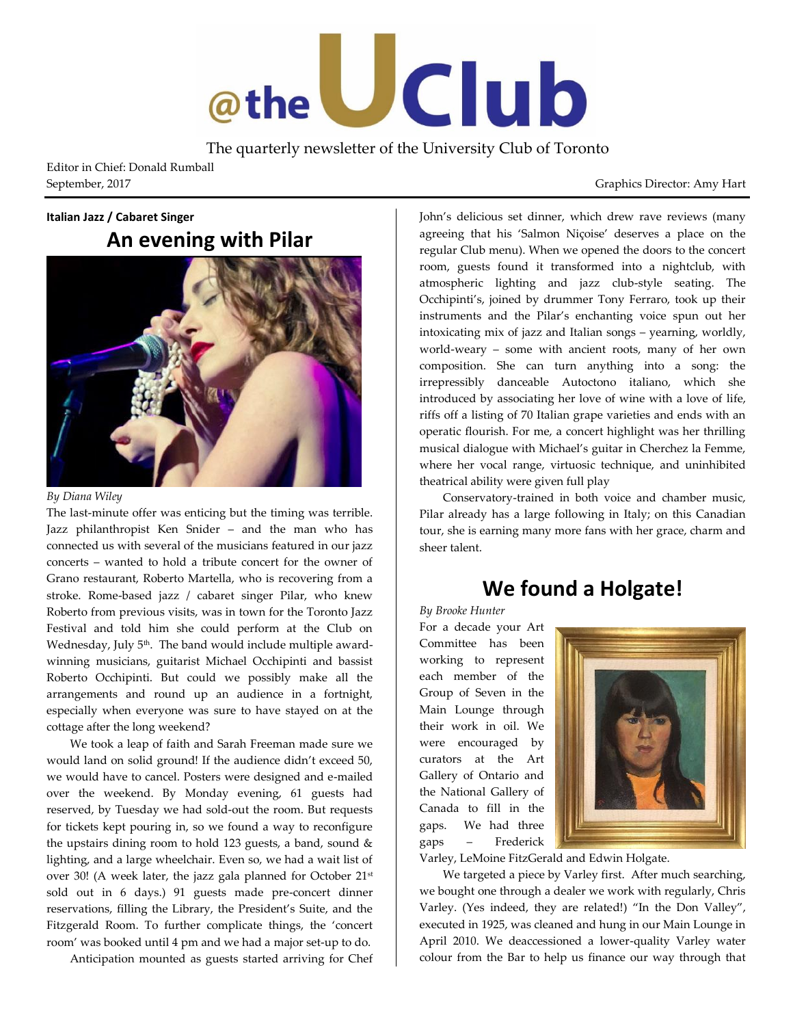

The quarterly newsletter of the University Club of Toronto

Editor in Chief: Donald Rumball September, 2017 Graphics Director: Amy Hart

#### **Italian Jazz / Cabaret Singer**

# **An evening with Pilar**



*By Diana Wiley*

The last-minute offer was enticing but the timing was terrible. Jazz philanthropist Ken Snider – and the man who has connected us with several of the musicians featured in our jazz concerts – wanted to hold a tribute concert for the owner of Grano restaurant, Roberto Martella, who is recovering from a stroke. Rome-based jazz / cabaret singer Pilar, who knew Roberto from previous visits, was in town for the Toronto Jazz Festival and told him she could perform at the Club on Wednesday, July 5<sup>th</sup>. The band would include multiple awardwinning musicians, guitarist Michael Occhipinti and bassist Roberto Occhipinti. But could we possibly make all the arrangements and round up an audience in a fortnight, especially when everyone was sure to have stayed on at the cottage after the long weekend?

We took a leap of faith and Sarah Freeman made sure we would land on solid ground! If the audience didn't exceed 50, we would have to cancel. Posters were designed and e-mailed over the weekend. By Monday evening, 61 guests had reserved, by Tuesday we had sold-out the room. But requests for tickets kept pouring in, so we found a way to reconfigure the upstairs dining room to hold 123 guests, a band, sound & lighting, and a large wheelchair. Even so, we had a wait list of over 30! (A week later, the jazz gala planned for October 21st sold out in 6 days.) 91 guests made pre-concert dinner reservations, filling the Library, the President's Suite, and the Fitzgerald Room. To further complicate things, the 'concert room' was booked until 4 pm and we had a major set-up to do.

Anticipation mounted as guests started arriving for Chef

John's delicious set dinner, which drew rave reviews (many agreeing that his 'Salmon Niçoise' deserves a place on the regular Club menu). When we opened the doors to the concert room, guests found it transformed into a nightclub, with atmospheric lighting and jazz club-style seating. The Occhipinti's, joined by drummer Tony Ferraro, took up their instruments and the Pilar's enchanting voice spun out her intoxicating mix of jazz and Italian songs – yearning, worldly, world-weary – some with ancient roots, many of her own composition. She can turn anything into a song: the irrepressibly danceable Autoctono italiano, which she introduced by associating her love of wine with a love of life, riffs off a listing of 70 Italian grape varieties and ends with an operatic flourish. For me, a concert highlight was her thrilling musical dialogue with Michael's guitar in Cherchez la Femme, where her vocal range, virtuosic technique, and uninhibited theatrical ability were given full play

Conservatory-trained in both voice and chamber music, Pilar already has a large following in Italy; on this Canadian tour, she is earning many more fans with her grace, charm and sheer talent.

## **We found a Holgate!**

*By Brooke Hunter*

For a decade your Art Committee has been working to represent each member of the Group of Seven in the Main Lounge through their work in oil. We were encouraged by curators at the Art Gallery of Ontario and the National Gallery of Canada to fill in the gaps. We had three gaps – Frederick



Varley, LeMoine FitzGerald and Edwin Holgate.

We targeted a piece by Varley first. After much searching, we bought one through a dealer we work with regularly, Chris Varley. (Yes indeed, they are related!) "In the Don Valley", executed in 1925, was cleaned and hung in our Main Lounge in April 2010. We deaccessioned a lower-quality Varley water colour from the Bar to help us finance our way through that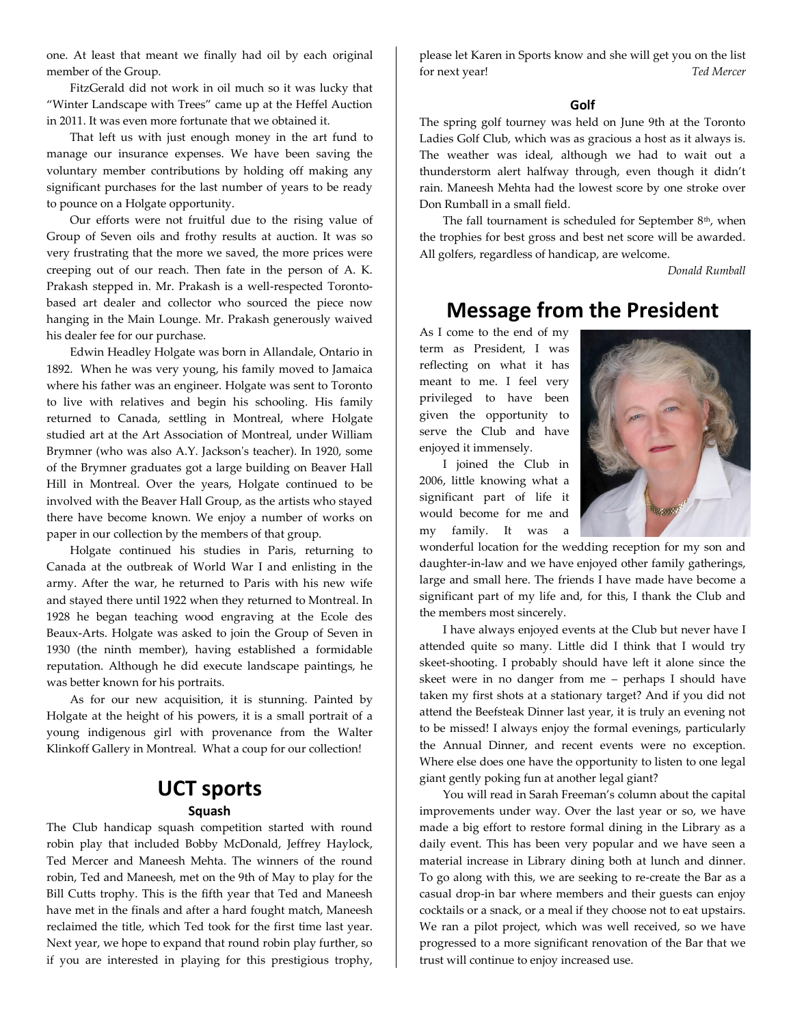one. At least that meant we finally had oil by each original member of the Group.

FitzGerald did not work in oil much so it was lucky that "Winter Landscape with Trees" came up at the Heffel Auction in 2011. It was even more fortunate that we obtained it.

That left us with just enough money in the art fund to manage our insurance expenses. We have been saving the voluntary member contributions by holding off making any significant purchases for the last number of years to be ready to pounce on a Holgate opportunity.

Our efforts were not fruitful due to the rising value of Group of Seven oils and frothy results at auction. It was so very frustrating that the more we saved, the more prices were creeping out of our reach. Then fate in the person of A. K. Prakash stepped in. Mr. Prakash is a well-respected Torontobased art dealer and collector who sourced the piece now hanging in the Main Lounge. Mr. Prakash generously waived his dealer fee for our purchase.

Edwin Headley Holgate was born in Allandale, Ontario in 1892. When he was very young, his family moved to Jamaica where his father was an engineer. Holgate was sent to Toronto to live with relatives and begin his schooling. His family returned to Canada, settling in Montreal, where Holgate studied art at the Art Association of Montreal, under William Brymner (who was also A.Y. Jackson's teacher). In 1920, some of the Brymner graduates got a large building on Beaver Hall Hill in Montreal. Over the years, Holgate continued to be involved with the Beaver Hall Group, as the artists who stayed there have become known. We enjoy a number of works on paper in our collection by the members of that group.

Holgate continued his studies in Paris, returning to Canada at the outbreak of World War I and enlisting in the army. After the war, he returned to Paris with his new wife and stayed there until 1922 when they returned to Montreal. In 1928 he began teaching wood engraving at the Ecole des Beaux-Arts. Holgate was asked to join the Group of Seven in 1930 (the ninth member), having established a formidable reputation. Although he did execute landscape paintings, he was better known for his portraits.

As for our new acquisition, it is stunning. Painted by Holgate at the height of his powers, it is a small portrait of a young indigenous girl with provenance from the Walter Klinkoff Gallery in Montreal. What a coup for our collection!

### **UCT sports Squash**

The Club handicap squash competition started with round robin play that included Bobby McDonald, Jeffrey Haylock, Ted Mercer and Maneesh Mehta. The winners of the round robin, Ted and Maneesh, met on the 9th of May to play for the Bill Cutts trophy. This is the fifth year that Ted and Maneesh have met in the finals and after a hard fought match, Maneesh reclaimed the title, which Ted took for the first time last year. Next year, we hope to expand that round robin play further, so if you are interested in playing for this prestigious trophy,

please let Karen in Sports know and she will get you on the list for next year! *Ted Mercer*

#### **Golf**

The spring golf tourney was held on June 9th at the Toronto Ladies Golf Club, which was as gracious a host as it always is. The weather was ideal, although we had to wait out a thunderstorm alert halfway through, even though it didn't rain. Maneesh Mehta had the lowest score by one stroke over Don Rumball in a small field.

The fall tournament is scheduled for September  $8<sup>th</sup>$ , when the trophies for best gross and best net score will be awarded. All golfers, regardless of handicap, are welcome.

*Donald Rumball*

### **Message from the President**

As I come to the end of my term as President, I was reflecting on what it has meant to me. I feel very privileged to have been given the opportunity to serve the Club and have enjoyed it immensely.



the members most sincerely.

my family. It was a wonderful location for the wedding reception for my son and daughter-in-law and we have enjoyed other family gatherings, large and small here. The friends I have made have become a significant part of my life and, for this, I thank the Club and

I have always enjoyed events at the Club but never have I attended quite so many. Little did I think that I would try skeet-shooting. I probably should have left it alone since the skeet were in no danger from me – perhaps I should have taken my first shots at a stationary target? And if you did not attend the Beefsteak Dinner last year, it is truly an evening not to be missed! I always enjoy the formal evenings, particularly the Annual Dinner, and recent events were no exception. Where else does one have the opportunity to listen to one legal giant gently poking fun at another legal giant?

You will read in Sarah Freeman's column about the capital improvements under way. Over the last year or so, we have made a big effort to restore formal dining in the Library as a daily event. This has been very popular and we have seen a material increase in Library dining both at lunch and dinner. To go along with this, we are seeking to re-create the Bar as a casual drop-in bar where members and their guests can enjoy cocktails or a snack, or a meal if they choose not to eat upstairs. We ran a pilot project, which was well received, so we have progressed to a more significant renovation of the Bar that we trust will continue to enjoy increased use.

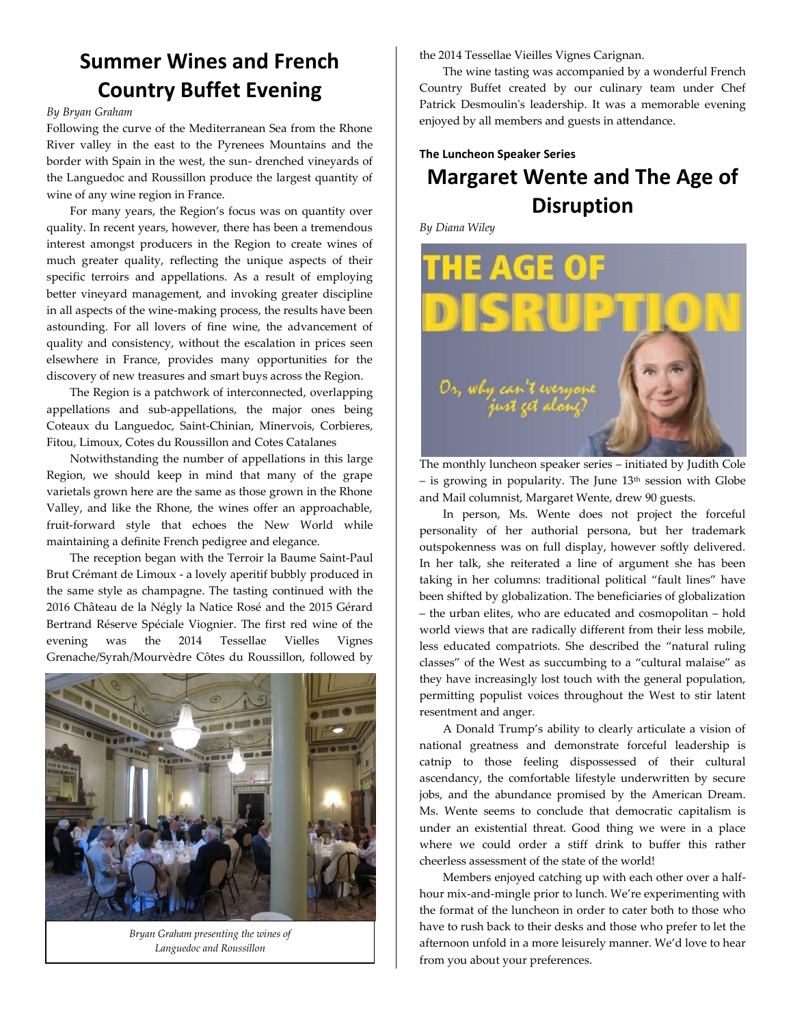# **Summer Wines and French Country Buffet Evening**

#### *By Bryan Graham*

Following the curve of the Mediterranean Sea from the Rhone River valley in the east to the Pyrenees Mountains and the border with Spain in the west, the sun- drenched vineyards of the Languedoc and Roussillon produce the largest quantity of wine of any wine region in France.

For many years, the Region's focus was on quantity over quality. In recent years, however, there has been a tremendous interest amongst producers in the Region to create wines of much greater quality, reflecting the unique aspects of their specific terroirs and appellations. As a result of employing better vineyard management, and invoking greater discipline in all aspects of the wine-making process, the results have been astounding. For all lovers of fine wine, the advancement of quality and consistency, without the escalation in prices seen elsewhere in France, provides many opportunities for the discovery of new treasures and smart buys across the Region.

The Region is a patchwork of interconnected, overlapping appellations and sub-appellations, the major ones being Coteaux du Languedoc, Saint-Chinian, Minervois, Corbieres, Fitou, Limoux, Cotes du Roussillon and Cotes Catalanes

Notwithstanding the number of appellations in this large Region, we should keep in mind that many of the grape varietals grown here are the same as those grown in the Rhone Valley, and like the Rhone, the wines offer an approachable, fruit-forward style that echoes the New World while maintaining a definite French pedigree and elegance.

The reception began with the Terroir la Baume Saint-Paul Brut Crémant de Limoux - a lovely aperitif bubbly produced in the same style as champagne. The tasting continued with the 2016 Château de la Négly la Natice Rosé and the 2015 Gérard Bertrand Réserve Spéciale Viognier. The first red wine of the evening was the 2014 Tessellae Vielles Vignes Grenache/Syrah/Mourvèdre Côtes du Roussillon, followed by



*Bryan Graham presenting the wines of Languedoc and Roussillon*

the 2014 Tessellae Vieilles Vignes Carignan.

The wine tasting was accompanied by a wonderful French Country Buffet created by our culinary team under Chef Patrick Desmoulin's leadership. It was a memorable evening enjoyed by all members and guests in attendance.

## **The Luncheon Speaker Series Margaret Wente and The Age of Disruption**

*By Diana Wiley*



The monthly luncheon speaker series – initiated by Judith Cole  $-$  is growing in popularity. The June  $13<sup>th</sup>$  session with Globe and Mail columnist, Margaret Wente, drew 90 guests.

In person, Ms. Wente does not project the forceful personality of her authorial persona, but her trademark outspokenness was on full display, however softly delivered. In her talk, she reiterated a line of argument she has been taking in her columns: traditional political "fault lines" have been shifted by globalization. The beneficiaries of globalization – the urban elites, who are educated and cosmopolitan – hold world views that are radically different from their less mobile, less educated compatriots. She described the "natural ruling classes" of the West as succumbing to a "cultural malaise" as they have increasingly lost touch with the general population, permitting populist voices throughout the West to stir latent resentment and anger.

A Donald Trump's ability to clearly articulate a vision of national greatness and demonstrate forceful leadership is catnip to those feeling dispossessed of their cultural ascendancy, the comfortable lifestyle underwritten by secure jobs, and the abundance promised by the American Dream. Ms. Wente seems to conclude that democratic capitalism is under an existential threat. Good thing we were in a place where we could order a stiff drink to buffer this rather cheerless assessment of the state of the world!

Members enjoyed catching up with each other over a halfhour mix-and-mingle prior to lunch. We're experimenting with the format of the luncheon in order to cater both to those who have to rush back to their desks and those who prefer to let the afternoon unfold in a more leisurely manner. We'd love to hear from you about your preferences.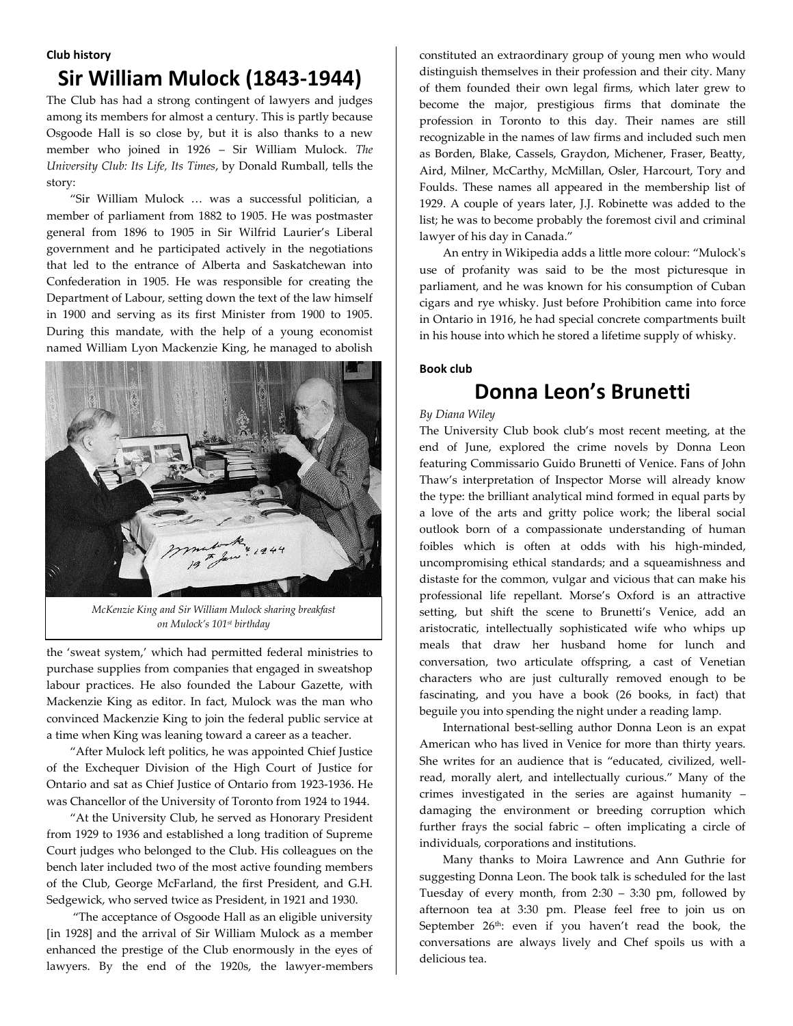#### **Club history**

# **Sir William Mulock (1843-1944)**

The Club has had a strong contingent of lawyers and judges among its members for almost a century. This is partly because Osgoode Hall is so close by, but it is also thanks to a new member who joined in 1926 – Sir William Mulock. *The University Club: Its Life, Its Times*, by Donald Rumball, tells the story:

"Sir William Mulock … was a successful politician, a member of parliament from 1882 to 1905. He was postmaster general from 1896 to 1905 in Sir Wilfrid Laurier's Liberal government and he participated actively in the negotiations that led to the entrance of Alberta and Saskatchewan into Confederation in 1905. He was responsible for creating the Department of Labour, setting down the text of the law himself in 1900 and serving as its first Minister from 1900 to 1905. During this mandate, with the help of a young economist named William Lyon Mackenzie King, he managed to abolish



*McKenzie King and Sir William Mulock sharing breakfast on Mulock's 101st birthday*

the 'sweat system,' which had permitted federal ministries to purchase supplies from companies that engaged in sweatshop labour practices. He also founded the Labour Gazette, with Mackenzie King as editor. In fact, Mulock was the man who convinced Mackenzie King to join the federal public service at a time when King was leaning toward a career as a teacher.

"After Mulock left politics, he was appointed Chief Justice of the Exchequer Division of the High Court of Justice for Ontario and sat as Chief Justice of Ontario from 1923-1936. He was Chancellor of the University of Toronto from 1924 to 1944.

"At the University Club, he served as Honorary President from 1929 to 1936 and established a long tradition of Supreme Court judges who belonged to the Club. His colleagues on the bench later included two of the most active founding members of the Club, George McFarland, the first President, and G.H. Sedgewick, who served twice as President, in 1921 and 1930.

"The acceptance of Osgoode Hall as an eligible university [in 1928] and the arrival of Sir William Mulock as a member enhanced the prestige of the Club enormously in the eyes of lawyers. By the end of the 1920s, the lawyer-members constituted an extraordinary group of young men who would distinguish themselves in their profession and their city. Many of them founded their own legal firms, which later grew to become the major, prestigious firms that dominate the profession in Toronto to this day. Their names are still recognizable in the names of law firms and included such men as Borden, Blake, Cassels, Graydon, Michener, Fraser, Beatty, Aird, Milner, McCarthy, McMillan, Osler, Harcourt, Tory and Foulds. These names all appeared in the membership list of 1929. A couple of years later, J.J. Robinette was added to the list; he was to become probably the foremost civil and criminal lawyer of his day in Canada."

An entry in Wikipedia adds a little more colour: "Mulock's use of profanity was said to be the most picturesque in parliament, and he was known for his consumption of Cuban cigars and [rye whisky.](https://en.wikipedia.org/wiki/Rye_whisky) Just before [Prohibition](https://en.wikipedia.org/wiki/Prohibition_in_Canada) came into force in Ontario in 1916, he had special concrete compartments built in his house into which he stored a lifetime supply of whisky.

#### **Book club**

# **Donna Leon's Brunetti**

#### *By Diana Wiley*

The University Club book club's most recent meeting, at the end of June, explored the crime novels by Donna Leon featuring Commissario Guido Brunetti of Venice. Fans of John Thaw's interpretation of Inspector Morse will already know the type: the brilliant analytical mind formed in equal parts by a love of the arts and gritty police work; the liberal social outlook born of a compassionate understanding of human foibles which is often at odds with his high-minded, uncompromising ethical standards; and a squeamishness and distaste for the common, vulgar and vicious that can make his professional life repellant. Morse's Oxford is an attractive setting, but shift the scene to Brunetti's Venice, add an aristocratic, intellectually sophisticated wife who whips up meals that draw her husband home for lunch and conversation, two articulate offspring, a cast of Venetian characters who are just culturally removed enough to be fascinating, and you have a book (26 books, in fact) that beguile you into spending the night under a reading lamp.

International best-selling author Donna Leon is an expat American who has lived in Venice for more than thirty years. She writes for an audience that is "educated, civilized, wellread, morally alert, and intellectually curious." Many of the crimes investigated in the series are against humanity – damaging the environment or breeding corruption which further frays the social fabric – often implicating a circle of individuals, corporations and institutions.

Many thanks to Moira Lawrence and Ann Guthrie for suggesting Donna Leon. The book talk is scheduled for the last Tuesday of every month, from 2:30 – 3:30 pm, followed by afternoon tea at 3:30 pm. Please feel free to join us on September 26<sup>th</sup>: even if you haven't read the book, the conversations are always lively and Chef spoils us with a delicious tea.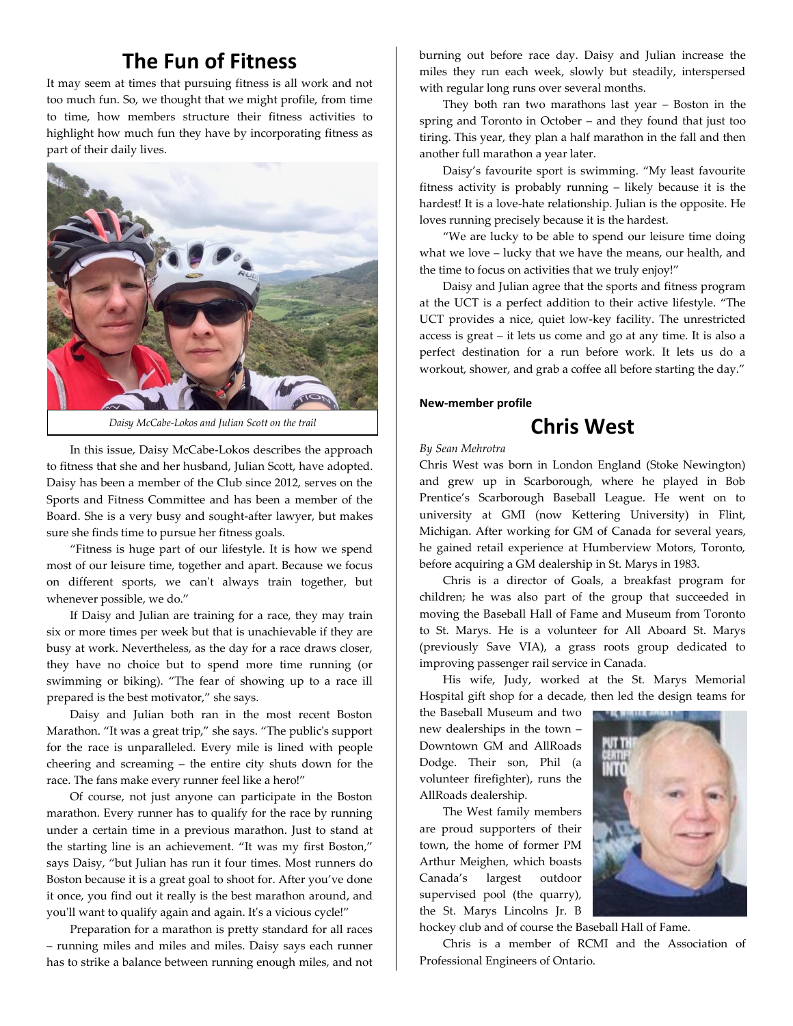# **The Fun of Fitness**

It may seem at times that pursuing fitness is all work and not too much fun. So, we thought that we might profile, from time to time, how members structure their fitness activities to highlight how much fun they have by incorporating fitness as part of their daily lives.



*Daisy McCabe-Lokos and Julian Scott on the trail*

In this issue, Daisy McCabe-Lokos describes the approach to fitness that she and her husband, Julian Scott, have adopted. Daisy has been a member of the Club since 2012, serves on the Sports and Fitness Committee and has been a member of the Board. She is a very busy and sought-after lawyer, but makes sure she finds time to pursue her fitness goals.

"Fitness is huge part of our lifestyle. It is how we spend most of our leisure time, together and apart. Because we focus on different sports, we can't always train together, but whenever possible, we do."

If Daisy and Julian are training for a race, they may train six or more times per week but that is unachievable if they are busy at work. Nevertheless, as the day for a race draws closer, they have no choice but to spend more time running (or swimming or biking). "The fear of showing up to a race ill prepared is the best motivator," she says.

Daisy and Julian both ran in the most recent Boston Marathon. "It was a great trip," she says. "The public's support for the race is unparalleled. Every mile is lined with people cheering and screaming – the entire city shuts down for the race. The fans make every runner feel like a hero!"

Of course, not just anyone can participate in the Boston marathon. Every runner has to qualify for the race by running under a certain time in a previous marathon. Just to stand at the starting line is an achievement. "It was my first Boston," says Daisy, "but Julian has run it four times. Most runners do Boston because it is a great goal to shoot for. After you've done it once, you find out it really is the best marathon around, and you'll want to qualify again and again. It's a vicious cycle!"

Preparation for a marathon is pretty standard for all races – running miles and miles and miles. Daisy says each runner has to strike a balance between running enough miles, and not burning out before race day. Daisy and Julian increase the miles they run each week, slowly but steadily, interspersed with regular long runs over several months.

They both ran two marathons last year – Boston in the spring and Toronto in October – and they found that just too tiring. This year, they plan a half marathon in the fall and then another full marathon a year later.

Daisy's favourite sport is swimming. "My least favourite fitness activity is probably running – likely because it is the hardest! It is a love-hate relationship. Julian is the opposite. He loves running precisely because it is the hardest.

"We are lucky to be able to spend our leisure time doing what we love – lucky that we have the means, our health, and the time to focus on activities that we truly enjoy!"

Daisy and Julian agree that the sports and fitness program at the UCT is a perfect addition to their active lifestyle. "The UCT provides a nice, quiet low-key facility. The unrestricted access is great – it lets us come and go at any time. It is also a perfect destination for a run before work. It lets us do a workout, shower, and grab a coffee all before starting the day."

#### **New-member profile**

### **Chris West**

#### *By Sean Mehrotra*

Chris West was born in London England (Stoke Newington) and grew up in Scarborough, where he played in Bob Prentice's Scarborough Baseball League. He went on to university at GMI (now Kettering University) in Flint, Michigan. After working for GM of Canada for several years, he gained retail experience at Humberview Motors, Toronto, before acquiring a GM dealership in St. Marys in 1983.

Chris is a director of Goals, a breakfast program for children; he was also part of the group that succeeded in moving the Baseball Hall of Fame and Museum from Toronto to St. Marys. He is a volunteer for All Aboard St. Marys (previously Save VIA), a grass roots group dedicated to improving passenger rail service in Canada.

His wife, Judy, worked at the St. Marys Memorial Hospital gift shop for a decade, then led the design teams for

the Baseball Museum and two new dealerships in the town – Downtown GM and AllRoads Dodge. Their son, Phil (a volunteer firefighter), runs the AllRoads dealership.

The West family members are proud supporters of their town, the home of former PM Arthur Meighen, which boasts Canada's largest outdoor supervised pool (the quarry), the St. Marys Lincolns Jr. B



hockey club and of course the Baseball Hall of Fame.

Chris is a member of RCMI and the Association of Professional Engineers of Ontario.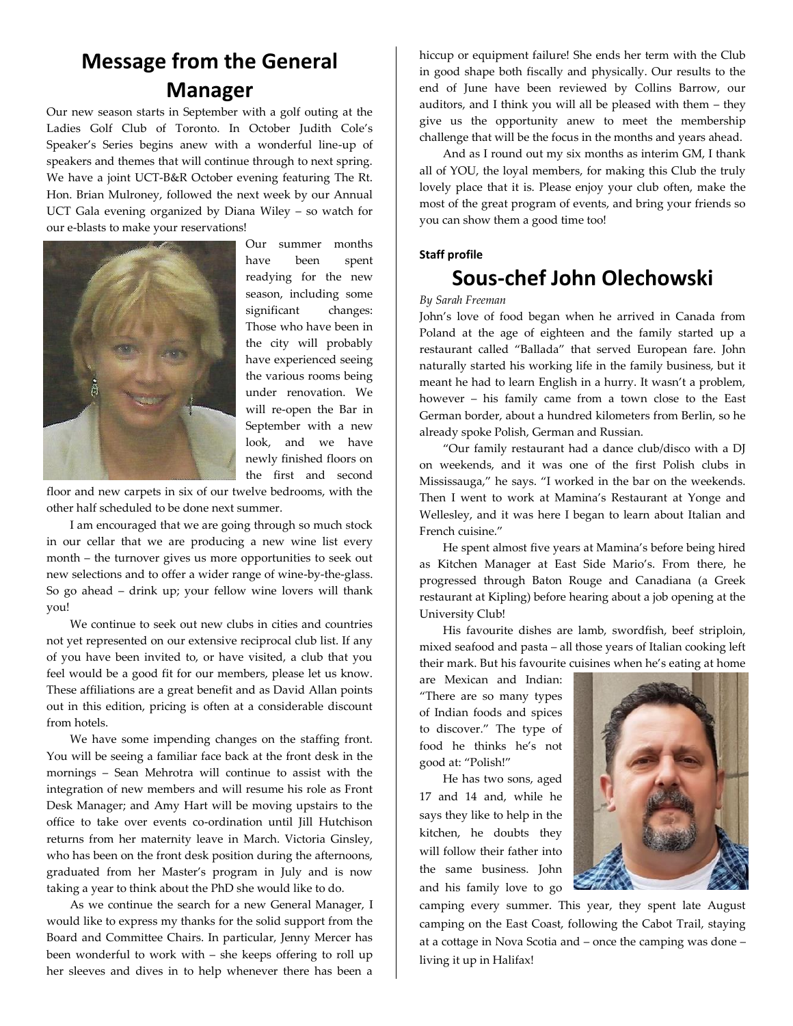# **Message from the General Manager**

Our new season starts in September with a golf outing at the Ladies Golf Club of Toronto. In October Judith Cole's Speaker's Series begins anew with a wonderful line-up of speakers and themes that will continue through to next spring. We have a joint UCT-B&R October evening featuring The Rt. Hon. Brian Mulroney, followed the next week by our Annual UCT Gala evening organized by Diana Wiley – so watch for our e-blasts to make your reservations!



Our summer months have been spent readying for the new season, including some significant changes: Those who have been in the city will probably have experienced seeing the various rooms being under renovation. We will re-open the Bar in September with a new look, and we have newly finished floors on the first and second

floor and new carpets in six of our twelve bedrooms, with the other half scheduled to be done next summer.

I am encouraged that we are going through so much stock in our cellar that we are producing a new wine list every month – the turnover gives us more opportunities to seek out new selections and to offer a wider range of wine-by-the-glass. So go ahead – drink up; your fellow wine lovers will thank you!

We continue to seek out new clubs in cities and countries not yet represented on our extensive reciprocal club list. If any of you have been invited to, or have visited, a club that you feel would be a good fit for our members, please let us know. These affiliations are a great benefit and as David Allan points out in this edition, pricing is often at a considerable discount from hotels.

We have some impending changes on the staffing front. You will be seeing a familiar face back at the front desk in the mornings – Sean Mehrotra will continue to assist with the integration of new members and will resume his role as Front Desk Manager; and Amy Hart will be moving upstairs to the office to take over events co-ordination until Jill Hutchison returns from her maternity leave in March. Victoria Ginsley, who has been on the front desk position during the afternoons, graduated from her Master's program in July and is now taking a year to think about the PhD she would like to do.

As we continue the search for a new General Manager, I would like to express my thanks for the solid support from the Board and Committee Chairs. In particular, Jenny Mercer has been wonderful to work with – she keeps offering to roll up her sleeves and dives in to help whenever there has been a

hiccup or equipment failure! She ends her term with the Club in good shape both fiscally and physically. Our results to the end of June have been reviewed by Collins Barrow, our auditors, and I think you will all be pleased with them – they give us the opportunity anew to meet the membership challenge that will be the focus in the months and years ahead.

And as I round out my six months as interim GM, I thank all of YOU, the loyal members, for making this Club the truly lovely place that it is. Please enjoy your club often, make the most of the great program of events, and bring your friends so you can show them a good time too!

#### **Staff profile**

### **Sous-chef John Olechowski**

#### *By Sarah Freeman*

John's love of food began when he arrived in Canada from Poland at the age of eighteen and the family started up a restaurant called "Ballada" that served European fare. John naturally started his working life in the family business, but it meant he had to learn English in a hurry. It wasn't a problem, however – his family came from a town close to the East German border, about a hundred kilometers from Berlin, so he already spoke Polish, German and Russian.

"Our family restaurant had a dance club/disco with a DJ on weekends, and it was one of the first Polish clubs in Mississauga," he says. "I worked in the bar on the weekends. Then I went to work at Mamina's Restaurant at Yonge and Wellesley, and it was here I began to learn about Italian and French cuisine."

He spent almost five years at Mamina's before being hired as Kitchen Manager at East Side Mario's. From there, he progressed through Baton Rouge and Canadiana (a Greek restaurant at Kipling) before hearing about a job opening at the University Club!

His favourite dishes are lamb, swordfish, beef striploin, mixed seafood and pasta – all those years of Italian cooking left their mark. But his favourite cuisines when he's eating at home

are Mexican and Indian: "There are so many types of Indian foods and spices to discover." The type of food he thinks he's not good at: "Polish!"

He has two sons, aged 17 and 14 and, while he says they like to help in the kitchen, he doubts they will follow their father into the same business. John and his family love to go



camping every summer. This year, they spent late August camping on the East Coast, following the Cabot Trail, staying at a cottage in Nova Scotia and – once the camping was done – living it up in Halifax!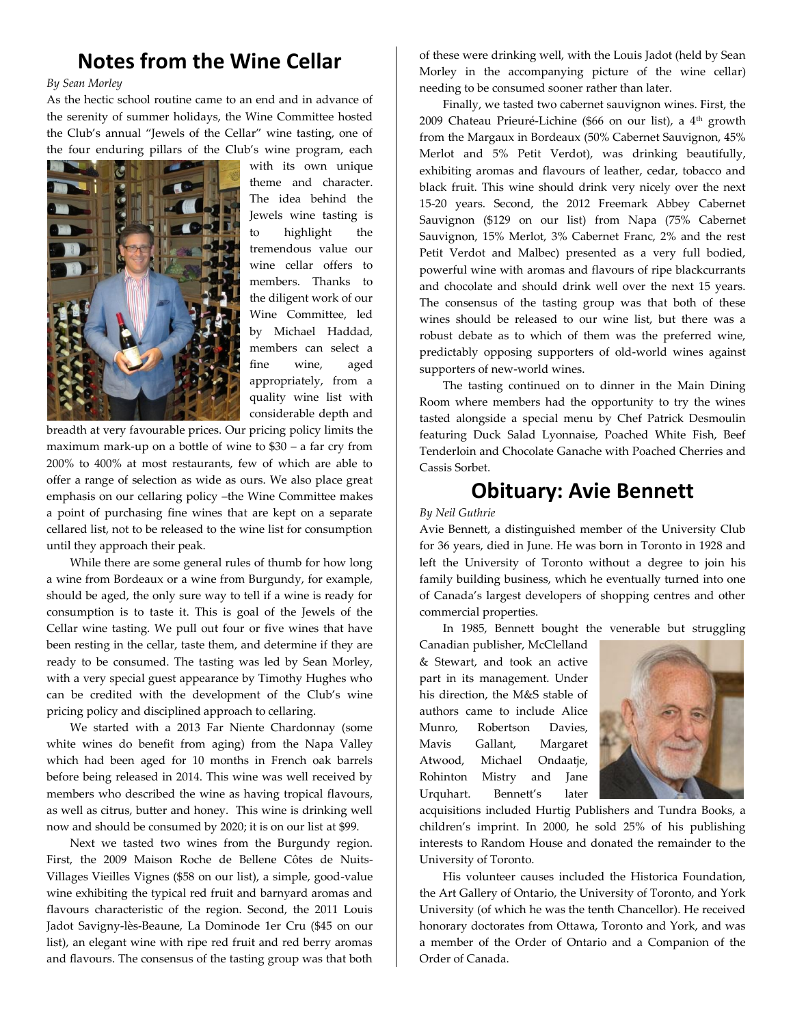## **Notes from the Wine Cellar**

#### *By Sean Morley*

As the hectic school routine came to an end and in advance of the serenity of summer holidays, the Wine Committee hosted the Club's annual "Jewels of the Cellar" wine tasting, one of the four enduring pillars of the Club's wine program, each



with its own unique theme and character. The idea behind the Jewels wine tasting is to highlight the tremendous value our wine cellar offers to members. Thanks to the diligent work of our Wine Committee, led by Michael Haddad, members can select a fine wine, aged appropriately, from a quality wine list with considerable depth and

breadth at very favourable prices. Our pricing policy limits the maximum mark-up on a bottle of wine to \$30 – a far cry from 200% to 400% at most restaurants, few of which are able to offer a range of selection as wide as ours. We also place great emphasis on our cellaring policy –the Wine Committee makes a point of purchasing fine wines that are kept on a separate cellared list, not to be released to the wine list for consumption until they approach their peak.

While there are some general rules of thumb for how long a wine from Bordeaux or a wine from Burgundy, for example, should be aged, the only sure way to tell if a wine is ready for consumption is to taste it. This is goal of the Jewels of the Cellar wine tasting. We pull out four or five wines that have been resting in the cellar, taste them, and determine if they are ready to be consumed. The tasting was led by Sean Morley, with a very special guest appearance by Timothy Hughes who can be credited with the development of the Club's wine pricing policy and disciplined approach to cellaring.

We started with a 2013 Far Niente Chardonnay (some white wines do benefit from aging) from the Napa Valley which had been aged for 10 months in French oak barrels before being released in 2014. This wine was well received by members who described the wine as having tropical flavours, as well as citrus, butter and honey. This wine is drinking well now and should be consumed by 2020; it is on our list at \$99.

Next we tasted two wines from the Burgundy region. First, the 2009 Maison Roche de Bellene Côtes de Nuits-Villages Vieilles Vignes (\$58 on our list), a simple, good-value wine exhibiting the typical red fruit and barnyard aromas and flavours characteristic of the region. Second, the 2011 Louis Jadot Savigny-lès-Beaune, La Dominode 1er Cru (\$45 on our list), an elegant wine with ripe red fruit and red berry aromas and flavours. The consensus of the tasting group was that both of these were drinking well, with the Louis Jadot (held by Sean Morley in the accompanying picture of the wine cellar) needing to be consumed sooner rather than later.

Finally, we tasted two cabernet sauvignon wines. First, the 2009 Chateau Prieuré-Lichine (\$66 on our list), a 4<sup>th</sup> growth from the Margaux in Bordeaux (50% Cabernet Sauvignon, 45% Merlot and 5% Petit Verdot), was drinking beautifully, exhibiting aromas and flavours of leather, cedar, tobacco and black fruit. This wine should drink very nicely over the next 15-20 years. Second, the 2012 Freemark Abbey Cabernet Sauvignon (\$129 on our list) from Napa (75% Cabernet Sauvignon, 15% Merlot, 3% Cabernet Franc, 2% and the rest Petit Verdot and Malbec) presented as a very full bodied, powerful wine with aromas and flavours of ripe blackcurrants and chocolate and should drink well over the next 15 years. The consensus of the tasting group was that both of these wines should be released to our wine list, but there was a robust debate as to which of them was the preferred wine, predictably opposing supporters of old-world wines against supporters of new-world wines.

The tasting continued on to dinner in the Main Dining Room where members had the opportunity to try the wines tasted alongside a special menu by Chef Patrick Desmoulin featuring Duck Salad Lyonnaise, Poached White Fish, Beef Tenderloin and Chocolate Ganache with Poached Cherries and Cassis Sorbet.

### **Obituary: Avie Bennett**

#### *By Neil Guthrie*

Avie Bennett, a distinguished member of the University Club for 36 years, died in June. He was born in Toronto in 1928 and left the University of Toronto without a degree to join his family building business, which he eventually turned into one of Canada's largest developers of shopping centres and other commercial properties.

In 1985, Bennett bought the venerable but struggling

Canadian publisher, McClelland & Stewart, and took an active part in its management. Under his direction, the M&S stable of authors came to include Alice Munro, Robertson Davies, Mavis Gallant, Margaret Atwood, Michael Ondaatje, Rohinton Mistry and Jane Urquhart. Bennett's later



acquisitions included Hurtig Publishers and Tundra Books, a children's imprint. In 2000, he sold 25% of his publishing interests to Random House and donated the remainder to the University of Toronto.

His volunteer causes included the Historica Foundation, the Art Gallery of Ontario, the University of Toronto, and York University (of which he was the tenth Chancellor). He received honorary doctorates from Ottawa, Toronto and York, and was a member of the Order of Ontario and a Companion of the Order of Canada.